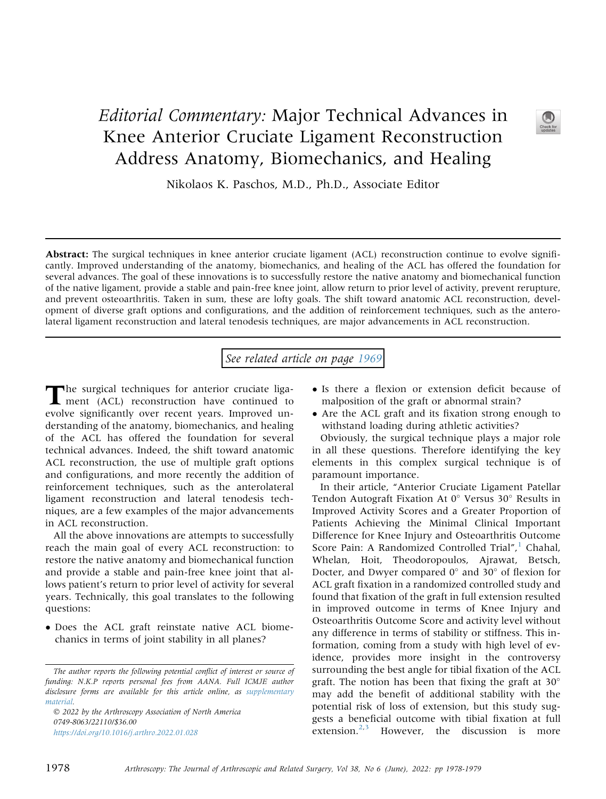## Editorial Commentary: Major Technical Advances in Knee Anterior Cruciate Ligament Reconstruction Address Anatomy, Biomechanics, and Healing



Nikolaos K. Paschos, M.D., Ph.D., Associate Editor

Abstract: The surgical techniques in knee anterior cruciate ligament (ACL) reconstruction continue to evolve significantly. Improved understanding of the anatomy, biomechanics, and healing of the ACL has offered the foundation for several advances. The goal of these innovations is to successfully restore the native anatomy and biomechanical function of the native ligament, provide a stable and pain-free knee joint, allow return to prior level of activity, prevent rerupture, and prevent osteoarthritis. Taken in sum, these are lofty goals. The shift toward anatomic ACL reconstruction, development of diverse graft options and configurations, and the addition of reinforcement techniques, such as the anterolateral ligament reconstruction and lateral tenodesis techniques, are major advancements in ACL reconstruction.

See related article on page [1969](http://www.arthroscopyjournal.org/article/S0749-8063(21)01109-9/abstract)

The surgical techniques for anterior cruciate liga-ment (ACL) reconstruction have continued to evolve significantly over recent years. Improved understanding of the anatomy, biomechanics, and healing of the ACL has offered the foundation for several technical advances. Indeed, the shift toward anatomic ACL reconstruction, the use of multiple graft options and configurations, and more recently the addition of reinforcement techniques, such as the anterolateral ligament reconstruction and lateral tenodesis techniques, are a few examples of the major advancements in ACL reconstruction.

All the above innovations are attempts to successfully reach the main goal of every ACL reconstruction: to restore the native anatomy and biomechanical function and provide a stable and pain-free knee joint that allows patient's return to prior level of activity for several years. Technically, this goal translates to the following questions:

 Does the ACL graft reinstate native ACL biomechanics in terms of joint stability in all planes?

 2022 by the Arthroscopy Association of North America 0749-8063/22110/\$36.00 <https://doi.org/10.1016/j.arthro.2022.01.028>

- Is there a flexion or extension deficit because of malposition of the graft or abnormal strain?
- Are the ACL graft and its fixation strong enough to withstand loading during athletic activities?

Obviously, the surgical technique plays a major role in all these questions. Therefore identifying the key elements in this complex surgical technique is of paramount importance.

In their article, "Anterior Cruciate Ligament Patellar Tendon Autograft Fixation At  $0^{\circ}$  Versus 30 $^{\circ}$  Results in Improved Activity Scores and a Greater Proportion of Patients Achieving the Minimal Clinical Important Difference for Knee Injury and Osteoarthritis Outcome Score Pain: A Randomized Controlled Trial",<sup>[1](#page-1-0)</sup> Chahal, Whelan, Hoit, Theodoropoulos, Ajrawat, Betsch, Docter, and Dwyer compared  $0^{\circ}$  and  $30^{\circ}$  of flexion for ACL graft fixation in a randomized controlled study and found that fixation of the graft in full extension resulted in improved outcome in terms of Knee Injury and Osteoarthritis Outcome Score and activity level without any difference in terms of stability or stiffness. This information, coming from a study with high level of evidence, provides more insight in the controversy surrounding the best angle for tibial fixation of the ACL graft. The notion has been that fixing the graft at 30 may add the benefit of additional stability with the potential risk of loss of extension, but this study suggests a beneficial outcome with tibial fixation at full extension.<sup>[2,](#page-1-1)[3](#page-1-2)</sup> However, the discussion is more

The author reports the following potential conflict of interest or source of funding: N.K.P reports personal fees from AANA. Full ICMJE author disclosure forms are available for this article online, as supplementary material.